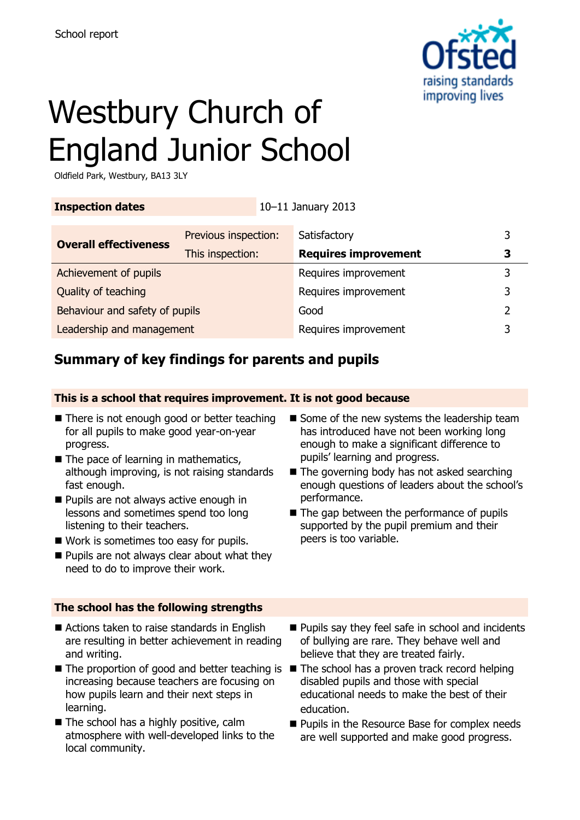

# Westbury Church of England Junior School

Oldfield Park, Westbury, BA13 3LY

| <b>Inspection dates</b>        |                      | 10-11 January 2013   |                             |   |
|--------------------------------|----------------------|----------------------|-----------------------------|---|
| <b>Overall effectiveness</b>   | Previous inspection: |                      | Satisfactory                |   |
|                                | This inspection:     |                      | <b>Requires improvement</b> |   |
| Achievement of pupils          |                      |                      | Requires improvement        | 3 |
| Quality of teaching            |                      | Requires improvement | 3                           |   |
| Behaviour and safety of pupils |                      |                      | Good                        | っ |
| Leadership and management      |                      |                      | Requires improvement        |   |

# **Summary of key findings for parents and pupils**

**This is a school that requires improvement. It is not good because**

- There is not enough good or better teaching for all pupils to make good year-on-year progress.
- $\blacksquare$  The pace of learning in mathematics, although improving, is not raising standards fast enough.
- **Pupils are not always active enough in** lessons and sometimes spend too long listening to their teachers.
- Work is sometimes too easy for pupils.
- **Pupils are not always clear about what they** need to do to improve their work.

### **The school has the following strengths**

- Actions taken to raise standards in English are resulting in better achievement in reading and writing.
- The proportion of good and better teaching is The school has a proven track record helping increasing because teachers are focusing on how pupils learn and their next steps in learning.
- The school has a highly positive, calm atmosphere with well-developed links to the local community.
- $\blacksquare$  Some of the new systems the leadership team has introduced have not been working long enough to make a significant difference to pupils' learning and progress.
- $\blacksquare$  The governing body has not asked searching enough questions of leaders about the school's performance.
- $\blacksquare$  The gap between the performance of pupils supported by the pupil premium and their peers is too variable.
- **Pupils say they feel safe in school and incidents** of bullying are rare. They behave well and believe that they are treated fairly.
- disabled pupils and those with special educational needs to make the best of their education.
- **Pupils in the Resource Base for complex needs** are well supported and make good progress.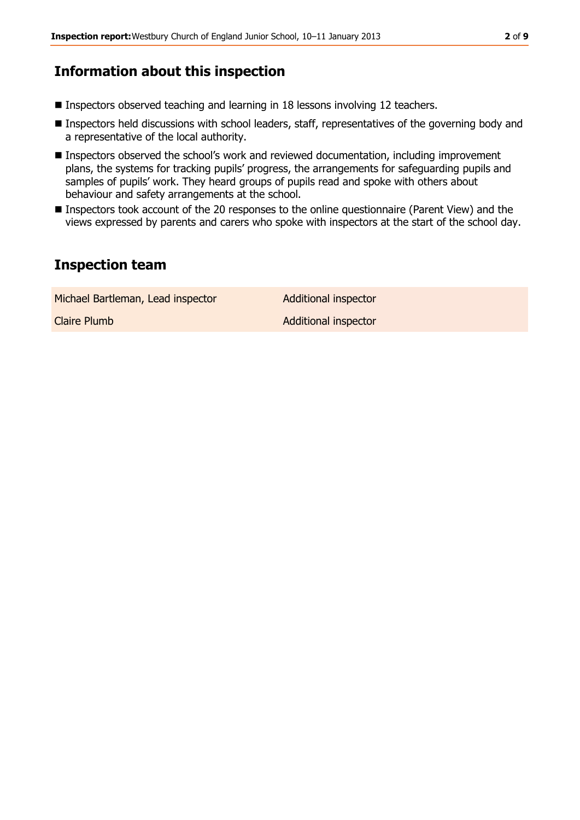## **Information about this inspection**

- Inspectors observed teaching and learning in 18 lessons involving 12 teachers.
- Inspectors held discussions with school leaders, staff, representatives of the governing body and a representative of the local authority.
- Inspectors observed the school's work and reviewed documentation, including improvement plans, the systems for tracking pupils' progress, the arrangements for safeguarding pupils and samples of pupils' work. They heard groups of pupils read and spoke with others about behaviour and safety arrangements at the school.
- **Inspectors took account of the 20 responses to the online questionnaire (Parent View) and the** views expressed by parents and carers who spoke with inspectors at the start of the school day.

### **Inspection team**

Michael Bartleman, Lead inspector **Additional inspector Claire Plumb Additional inspector**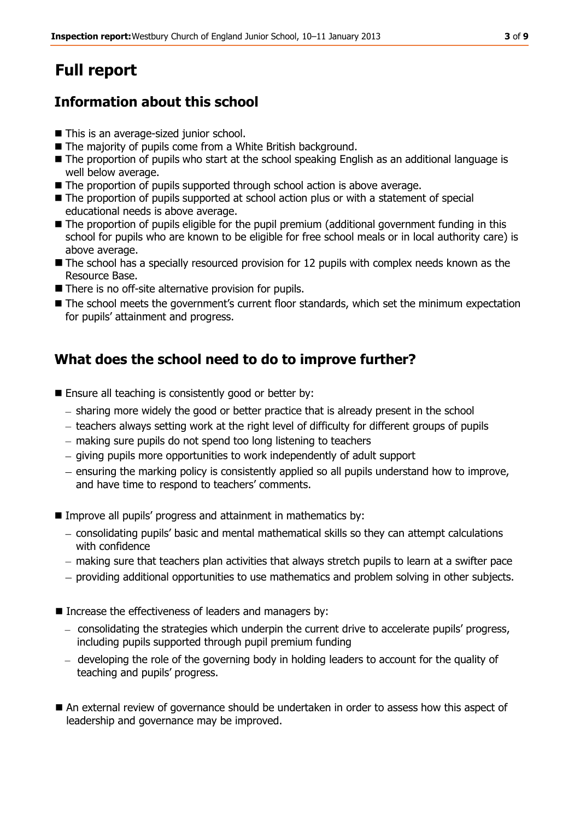# **Full report**

# **Information about this school**

- This is an average-sized junior school.
- The majority of pupils come from a White British background.
- The proportion of pupils who start at the school speaking English as an additional language is well below average.
- The proportion of pupils supported through school action is above average.
- The proportion of pupils supported at school action plus or with a statement of special educational needs is above average.
- The proportion of pupils eligible for the pupil premium (additional government funding in this school for pupils who are known to be eligible for free school meals or in local authority care) is above average.
- The school has a specially resourced provision for 12 pupils with complex needs known as the Resource Base.
- There is no off-site alternative provision for pupils.
- $\blacksquare$  The school meets the government's current floor standards, which set the minimum expectation for pupils' attainment and progress.

# **What does the school need to do to improve further?**

- Ensure all teaching is consistently good or better by:
	- $-$  sharing more widely the good or better practice that is already present in the school
	- teachers always setting work at the right level of difficulty for different groups of pupils
	- making sure pupils do not spend too long listening to teachers
	- giving pupils more opportunities to work independently of adult support
	- ensuring the marking policy is consistently applied so all pupils understand how to improve, and have time to respond to teachers' comments.
- **IMPROVE All pupils' progress and attainment in mathematics by:** 
	- consolidating pupils' basic and mental mathematical skills so they can attempt calculations with confidence
	- making sure that teachers plan activities that always stretch pupils to learn at a swifter pace
	- providing additional opportunities to use mathematics and problem solving in other subjects.
- Increase the effectiveness of leaders and managers by:
	- consolidating the strategies which underpin the current drive to accelerate pupils' progress, including pupils supported through pupil premium funding
	- developing the role of the governing body in holding leaders to account for the quality of teaching and pupils' progress.
- An external review of governance should be undertaken in order to assess how this aspect of leadership and governance may be improved.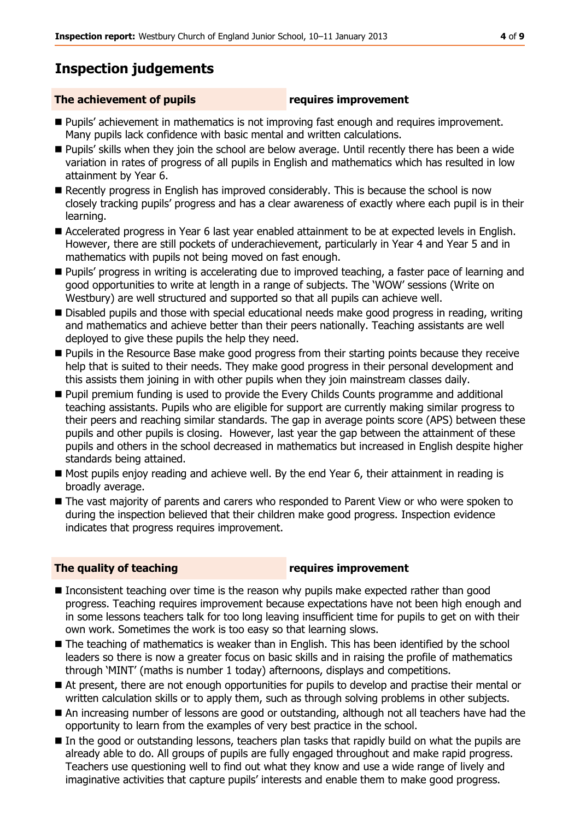# **Inspection judgements**

### **The achievement of pupils requires improvement**

- **Pupils' achievement in mathematics is not improving fast enough and requires improvement.** Many pupils lack confidence with basic mental and written calculations.
- **Pupils' skills when they join the school are below average. Until recently there has been a wide** variation in rates of progress of all pupils in English and mathematics which has resulted in low attainment by Year 6.
- Recently progress in English has improved considerably. This is because the school is now closely tracking pupils' progress and has a clear awareness of exactly where each pupil is in their learning.
- Accelerated progress in Year 6 last year enabled attainment to be at expected levels in English. However, there are still pockets of underachievement, particularly in Year 4 and Year 5 and in mathematics with pupils not being moved on fast enough.
- **Pupils' progress in writing is accelerating due to improved teaching, a faster pace of learning and** good opportunities to write at length in a range of subjects. The 'WOW' sessions (Write on Westbury) are well structured and supported so that all pupils can achieve well.
- Disabled pupils and those with special educational needs make good progress in reading, writing and mathematics and achieve better than their peers nationally. Teaching assistants are well deployed to give these pupils the help they need.
- **Pupils in the Resource Base make good progress from their starting points because they receive** help that is suited to their needs. They make good progress in their personal development and this assists them joining in with other pupils when they join mainstream classes daily.
- **Pupil premium funding is used to provide the Every Childs Counts programme and additional** teaching assistants. Pupils who are eligible for support are currently making similar progress to their peers and reaching similar standards. The gap in average points score (APS) between these pupils and other pupils is closing. However, last year the gap between the attainment of these pupils and others in the school decreased in mathematics but increased in English despite higher standards being attained.
- Most pupils enjoy reading and achieve well. By the end Year 6, their attainment in reading is broadly average.
- The vast majority of parents and carers who responded to Parent View or who were spoken to during the inspection believed that their children make good progress. Inspection evidence indicates that progress requires improvement.

### **The quality of teaching requires improvement**

- $\blacksquare$  Inconsistent teaching over time is the reason why pupils make expected rather than good progress. Teaching requires improvement because expectations have not been high enough and in some lessons teachers talk for too long leaving insufficient time for pupils to get on with their own work. Sometimes the work is too easy so that learning slows.
- The teaching of mathematics is weaker than in English. This has been identified by the school leaders so there is now a greater focus on basic skills and in raising the profile of mathematics through 'MINT' (maths is number 1 today) afternoons, displays and competitions.
- At present, there are not enough opportunities for pupils to develop and practise their mental or written calculation skills or to apply them, such as through solving problems in other subjects.
- An increasing number of lessons are good or outstanding, although not all teachers have had the opportunity to learn from the examples of very best practice in the school.
- In the good or outstanding lessons, teachers plan tasks that rapidly build on what the pupils are already able to do. All groups of pupils are fully engaged throughout and make rapid progress. Teachers use questioning well to find out what they know and use a wide range of lively and imaginative activities that capture pupils' interests and enable them to make good progress.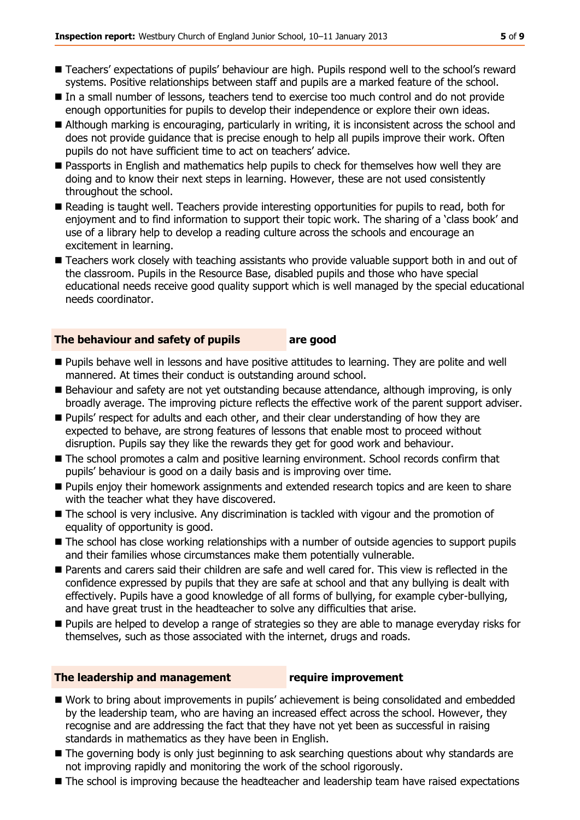- Teachers' expectations of pupils' behaviour are high. Pupils respond well to the school's reward systems. Positive relationships between staff and pupils are a marked feature of the school.
- In a small number of lessons, teachers tend to exercise too much control and do not provide enough opportunities for pupils to develop their independence or explore their own ideas.
- Although marking is encouraging, particularly in writing, it is inconsistent across the school and does not provide guidance that is precise enough to help all pupils improve their work. Often pupils do not have sufficient time to act on teachers' advice.
- **Passports in English and mathematics help pupils to check for themselves how well they are** doing and to know their next steps in learning. However, these are not used consistently throughout the school.
- Reading is taught well. Teachers provide interesting opportunities for pupils to read, both for enjoyment and to find information to support their topic work. The sharing of a 'class book' and use of a library help to develop a reading culture across the schools and encourage an excitement in learning.
- Teachers work closely with teaching assistants who provide valuable support both in and out of the classroom. Pupils in the Resource Base, disabled pupils and those who have special educational needs receive good quality support which is well managed by the special educational needs coordinator.

### **The behaviour and safety of pupils are good**

- Pupils behave well in lessons and have positive attitudes to learning. They are polite and well mannered. At times their conduct is outstanding around school.
- Behaviour and safety are not yet outstanding because attendance, although improving, is only broadly average. The improving picture reflects the effective work of the parent support adviser.
- **Pupils'** respect for adults and each other, and their clear understanding of how they are expected to behave, are strong features of lessons that enable most to proceed without disruption. Pupils say they like the rewards they get for good work and behaviour.
- The school promotes a calm and positive learning environment. School records confirm that pupils' behaviour is good on a daily basis and is improving over time.
- **Pupils enjoy their homework assignments and extended research topics and are keen to share** with the teacher what they have discovered.
- The school is very inclusive. Any discrimination is tackled with vigour and the promotion of equality of opportunity is good.
- The school has close working relationships with a number of outside agencies to support pupils and their families whose circumstances make them potentially vulnerable.
- Parents and carers said their children are safe and well cared for. This view is reflected in the confidence expressed by pupils that they are safe at school and that any bullying is dealt with effectively. Pupils have a good knowledge of all forms of bullying, for example cyber-bullying, and have great trust in the headteacher to solve any difficulties that arise.
- **Pupils are helped to develop a range of strategies so they are able to manage everyday risks for** themselves, such as those associated with the internet, drugs and roads.

### **The leadership and management require improvement**

### ■ Work to bring about improvements in pupils' achievement is being consolidated and embedded by the leadership team, who are having an increased effect across the school. However, they recognise and are addressing the fact that they have not yet been as successful in raising

- standards in mathematics as they have been in English.
- The governing body is only just beginning to ask searching questions about why standards are not improving rapidly and monitoring the work of the school rigorously.
- The school is improving because the headteacher and leadership team have raised expectations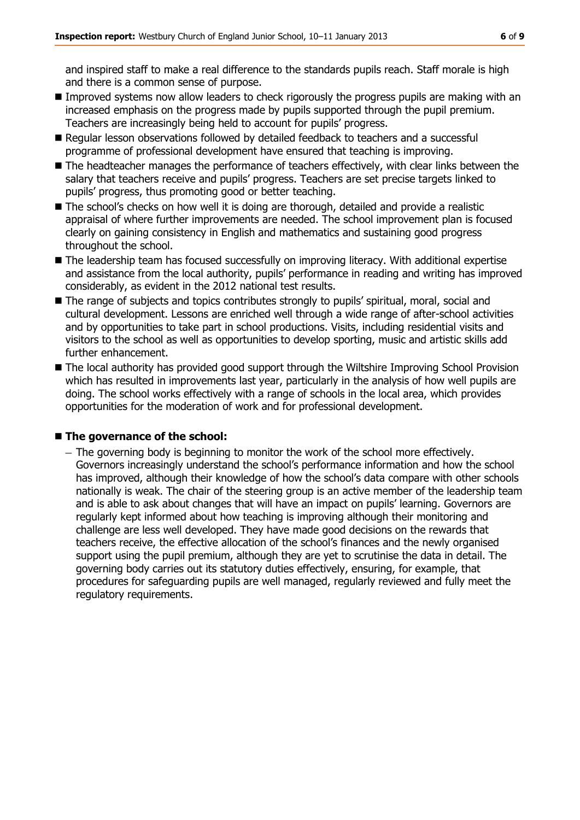and inspired staff to make a real difference to the standards pupils reach. Staff morale is high and there is a common sense of purpose.

- **Improved systems now allow leaders to check rigorously the progress pupils are making with an** increased emphasis on the progress made by pupils supported through the pupil premium. Teachers are increasingly being held to account for pupils' progress.
- Regular lesson observations followed by detailed feedback to teachers and a successful programme of professional development have ensured that teaching is improving.
- The headteacher manages the performance of teachers effectively, with clear links between the salary that teachers receive and pupils' progress. Teachers are set precise targets linked to pupils' progress, thus promoting good or better teaching.
- The school's checks on how well it is doing are thorough, detailed and provide a realistic appraisal of where further improvements are needed. The school improvement plan is focused clearly on gaining consistency in English and mathematics and sustaining good progress throughout the school.
- The leadership team has focused successfully on improving literacy. With additional expertise and assistance from the local authority, pupils' performance in reading and writing has improved considerably, as evident in the 2012 national test results.
- The range of subjects and topics contributes strongly to pupils' spiritual, moral, social and cultural development. Lessons are enriched well through a wide range of after-school activities and by opportunities to take part in school productions. Visits, including residential visits and visitors to the school as well as opportunities to develop sporting, music and artistic skills add further enhancement.
- The local authority has provided good support through the Wiltshire Improving School Provision which has resulted in improvements last year, particularly in the analysis of how well pupils are doing. The school works effectively with a range of schools in the local area, which provides opportunities for the moderation of work and for professional development.

### **The governance of the school:**

- The governing body is beginning to monitor the work of the school more effectively. Governors increasingly understand the school's performance information and how the school has improved, although their knowledge of how the school's data compare with other schools nationally is weak. The chair of the steering group is an active member of the leadership team and is able to ask about changes that will have an impact on pupils' learning. Governors are regularly kept informed about how teaching is improving although their monitoring and challenge are less well developed. They have made good decisions on the rewards that teachers receive, the effective allocation of the school's finances and the newly organised support using the pupil premium, although they are yet to scrutinise the data in detail. The governing body carries out its statutory duties effectively, ensuring, for example, that procedures for safeguarding pupils are well managed, regularly reviewed and fully meet the regulatory requirements.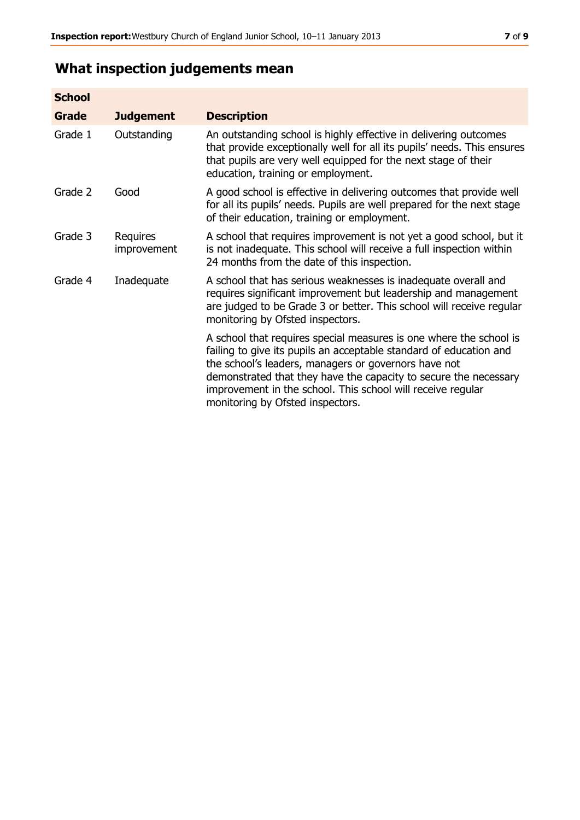# **What inspection judgements mean**

| <b>School</b> |                         |                                                                                                                                                                                                                                                                                                                                                                         |
|---------------|-------------------------|-------------------------------------------------------------------------------------------------------------------------------------------------------------------------------------------------------------------------------------------------------------------------------------------------------------------------------------------------------------------------|
| Grade         | <b>Judgement</b>        | <b>Description</b>                                                                                                                                                                                                                                                                                                                                                      |
| Grade 1       | Outstanding             | An outstanding school is highly effective in delivering outcomes<br>that provide exceptionally well for all its pupils' needs. This ensures<br>that pupils are very well equipped for the next stage of their<br>education, training or employment.                                                                                                                     |
| Grade 2       | Good                    | A good school is effective in delivering outcomes that provide well<br>for all its pupils' needs. Pupils are well prepared for the next stage<br>of their education, training or employment.                                                                                                                                                                            |
| Grade 3       | Requires<br>improvement | A school that requires improvement is not yet a good school, but it<br>is not inadequate. This school will receive a full inspection within<br>24 months from the date of this inspection.                                                                                                                                                                              |
| Grade 4       | Inadequate              | A school that has serious weaknesses is inadequate overall and<br>requires significant improvement but leadership and management<br>are judged to be Grade 3 or better. This school will receive regular<br>monitoring by Ofsted inspectors.                                                                                                                            |
|               |                         | A school that requires special measures is one where the school is<br>failing to give its pupils an acceptable standard of education and<br>the school's leaders, managers or governors have not<br>demonstrated that they have the capacity to secure the necessary<br>improvement in the school. This school will receive regular<br>monitoring by Ofsted inspectors. |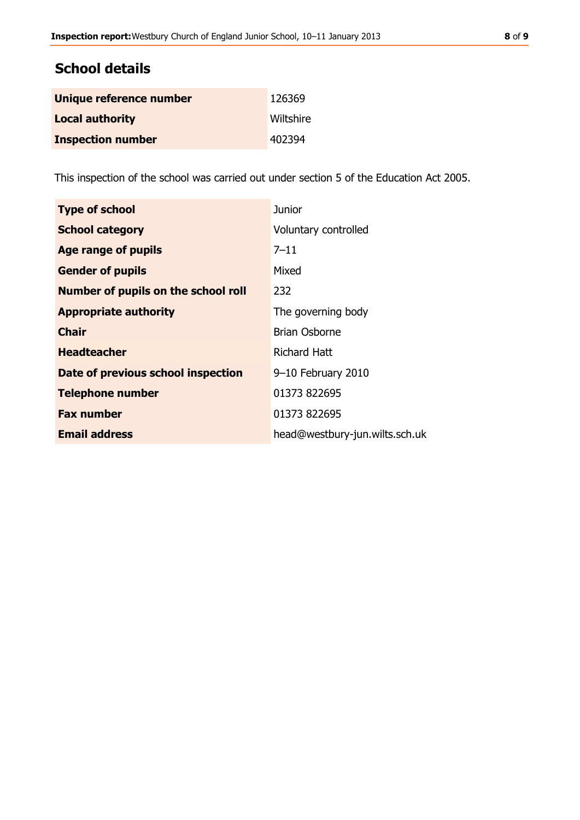## **School details**

| Unique reference number  | 126369    |
|--------------------------|-----------|
| <b>Local authority</b>   | Wiltshire |
| <b>Inspection number</b> | 402394    |

This inspection of the school was carried out under section 5 of the Education Act 2005.

| <b>Type of school</b>                      | Junior                         |
|--------------------------------------------|--------------------------------|
| <b>School category</b>                     | Voluntary controlled           |
| Age range of pupils                        | $7 - 11$                       |
| <b>Gender of pupils</b>                    | Mixed                          |
| <b>Number of pupils on the school roll</b> | 232                            |
| <b>Appropriate authority</b>               | The governing body             |
| <b>Chair</b>                               | <b>Brian Osborne</b>           |
| <b>Headteacher</b>                         | Richard Hatt                   |
| Date of previous school inspection         | 9-10 February 2010             |
| <b>Telephone number</b>                    | 01373 822695                   |
| <b>Fax number</b>                          | 01373 822695                   |
| <b>Email address</b>                       | head@westbury-jun.wilts.sch.uk |